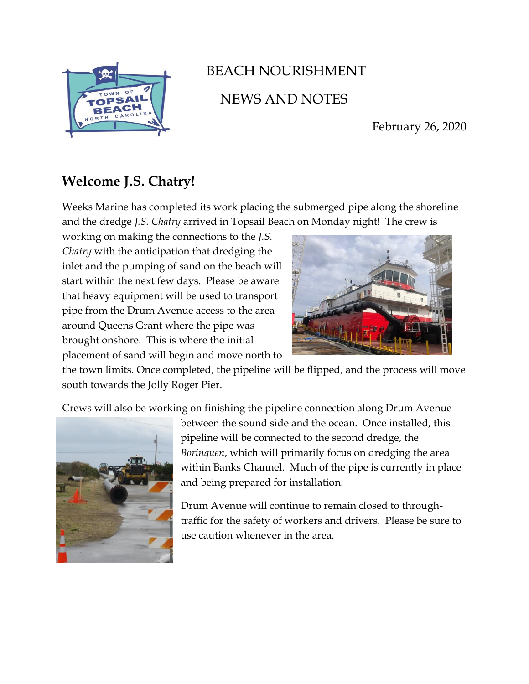

## BEACH NOURISHMENT NEWS AND NOTES

February 26, 2020

## **Welcome J.S. Chatry!**

Weeks Marine has completed its work placing the submerged pipe along the shoreline and the dredge *J.S. Chatry* arrived in Topsail Beach on Monday night! The crew is

working on making the connections to the *J.S. Chatry* with the anticipation that dredging the inlet and the pumping of sand on the beach will start within the next few days. Please be aware that heavy equipment will be used to transport pipe from the Drum Avenue access to the area around Queens Grant where the pipe was brought onshore. This is where the initial placement of sand will begin and move north to



the town limits. Once completed, the pipeline will be flipped, and the process will move south towards the Jolly Roger Pier.

Crews will also be working on finishing the pipeline connection along Drum Avenue



between the sound side and the ocean. Once installed, this pipeline will be connected to the second dredge, the *Borinquen*, which will primarily focus on dredging the area within Banks Channel. Much of the pipe is currently in place and being prepared for installation.

Drum Avenue will continue to remain closed to throughtraffic for the safety of workers and drivers. Please be sure to use caution whenever in the area.